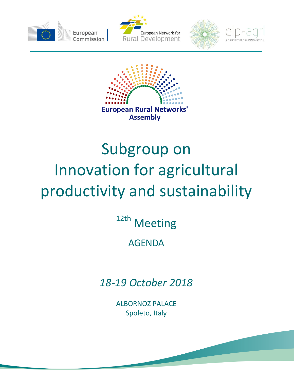









## Subgroup on Innovation for agricultural productivity and sustainability

12th Meeting

## AGENDA

*18-19 October 2018*

ALBORNOZ PALACE Spoleto, Italy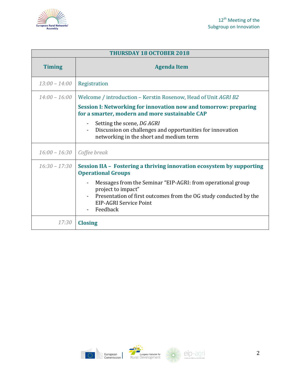



| <b>THURSDAY 18 OCTOBER 2018</b> |                                                                                                                                                                                              |
|---------------------------------|----------------------------------------------------------------------------------------------------------------------------------------------------------------------------------------------|
| <b>Timing</b>                   | <b>Agenda Item</b>                                                                                                                                                                           |
| $13:00 - 14:00$                 | Registration                                                                                                                                                                                 |
| $14:00 - 16:00$                 | Welcome / introduction – Kerstin Rosenow, Head of Unit AGRI B2                                                                                                                               |
|                                 | Session I: Networking for innovation now and tomorrow: preparing<br>for a smarter, modern and more sustainable CAP                                                                           |
|                                 | Setting the scene, DG AGRI<br>$\blacksquare$<br>Discussion on challenges and opportunities for innovation<br>$\blacksquare$<br>networking in the short and medium term                       |
| $16:00 - 16:30$                 | Coffee break                                                                                                                                                                                 |
| $16:30 - 17:30$                 | Session IIA - Fostering a thriving innovation ecosystem by supporting<br><b>Operational Groups</b>                                                                                           |
|                                 | Messages from the Seminar "EIP-AGRI: from operational group<br>project to impact"<br>Presentation of first outcomes from the OG study conducted by the<br>EIP-AGRI Service Point<br>Feedback |
| 17:30                           | <b>Closing</b>                                                                                                                                                                               |